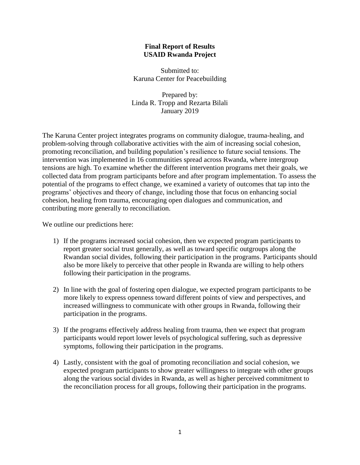### **Final Report of Results USAID Rwanda Project**

Submitted to: Karuna Center for Peacebuilding

Prepared by: Linda R. Tropp and Rezarta Bilali January 2019

The Karuna Center project integrates programs on community dialogue, trauma-healing, and problem-solving through collaborative activities with the aim of increasing social cohesion, promoting reconciliation, and building population's resilience to future social tensions. The intervention was implemented in 16 communities spread across Rwanda, where intergroup tensions are high. To examine whether the different intervention programs met their goals, we collected data from program participants before and after program implementation. To assess the potential of the programs to effect change, we examined a variety of outcomes that tap into the programs' objectives and theory of change, including those that focus on enhancing social cohesion, healing from trauma, encouraging open dialogues and communication, and contributing more generally to reconciliation.

We outline our predictions here:

- 1) If the programs increased social cohesion, then we expected program participants to report greater social trust generally, as well as toward specific outgroups along the Rwandan social divides, following their participation in the programs. Participants should also be more likely to perceive that other people in Rwanda are willing to help others following their participation in the programs.
- 2) In line with the goal of fostering open dialogue, we expected program participants to be more likely to express openness toward different points of view and perspectives, and increased willingness to communicate with other groups in Rwanda, following their participation in the programs.
- 3) If the programs effectively address healing from trauma, then we expect that program participants would report lower levels of psychological suffering, such as depressive symptoms, following their participation in the programs.
- 4) Lastly, consistent with the goal of promoting reconciliation and social cohesion, we expected program participants to show greater willingness to integrate with other groups along the various social divides in Rwanda, as well as higher perceived commitment to the reconciliation process for all groups, following their participation in the programs.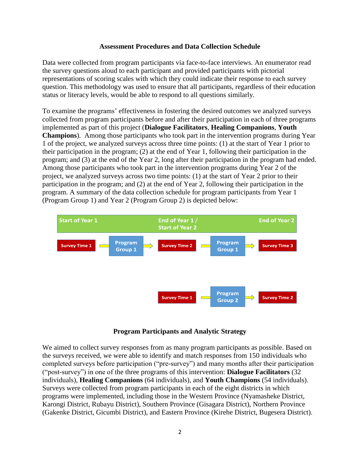### **Assessment Procedures and Data Collection Schedule**

Data were collected from program participants via face-to-face interviews. An enumerator read the survey questions aloud to each participant and provided participants with pictorial representations of scoring scales with which they could indicate their response to each survey question. This methodology was used to ensure that all participants, regardless of their education status or literacy levels, would be able to respond to all questions similarly.

To examine the programs' effectiveness in fostering the desired outcomes we analyzed surveys collected from program participants before and after their participation in each of three programs implemented as part of this project (**Dialogue Facilitators**, **Healing Companions**, **Youth Champions**). Among those participants who took part in the intervention programs during Year 1 of the project, we analyzed surveys across three time points: (1) at the start of Year 1 prior to their participation in the program; (2) at the end of Year 1, following their participation in the program; and (3) at the end of the Year 2, long after their participation in the program had ended. Among those participants who took part in the intervention programs during Year 2 of the project, we analyzed surveys across two time points: (1) at the start of Year 2 prior to their participation in the program; and (2) at the end of Year 2, following their participation in the program. A summary of the data collection schedule for program participants from Year 1 (Program Group 1) and Year 2 (Program Group 2) is depicted below:



### **Program Participants and Analytic Strategy**

We aimed to collect survey responses from as many program participants as possible. Based on the surveys received, we were able to identify and match responses from 150 individuals who completed surveys before participation ("pre-survey") and many months after their participation ("post-survey") in one of the three programs of this intervention: **Dialogue Facilitators** (32 individuals), **Healing Companions** (64 individuals), and **Youth Champions** (54 individuals). Surveys were collected from program participants in each of the eight districts in which programs were implemented, including those in the Western Province (Nyamasheke District, Karongi District, Rubayu District), Southern Province (Gisagara District), Northern Province (Gakenke District, Gicumbi District), and Eastern Province (Kirehe District, Bugesera District).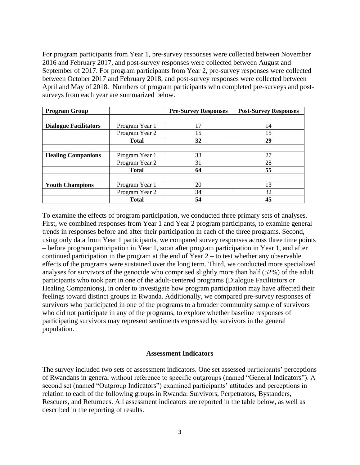For program participants from Year 1, pre-survey responses were collected between November 2016 and February 2017, and post-survey responses were collected between August and September of 2017. For program participants from Year 2, pre-survey responses were collected between October 2017 and February 2018, and post-survey responses were collected between April and May of 2018. Numbers of program participants who completed pre-surveys and postsurveys from each year are summarized below.

| <b>Program Group</b>         |                | <b>Pre-Survey Responses</b> | <b>Post-Survey Responses</b> |
|------------------------------|----------------|-----------------------------|------------------------------|
|                              |                |                             |                              |
| <b>Dialogue Facilitators</b> | Program Year 1 | 17                          | 14                           |
|                              | Program Year 2 | 15                          | 15                           |
|                              | <b>Total</b>   | 32                          | 29                           |
|                              |                |                             |                              |
| <b>Healing Companions</b>    | Program Year 1 | 33                          | 27                           |
|                              | Program Year 2 | 31                          | 28                           |
|                              | <b>Total</b>   | 64                          | 55                           |
|                              |                |                             |                              |
| <b>Youth Champions</b>       | Program Year 1 | 20                          | 13                           |
|                              | Program Year 2 | 34                          | 32                           |
|                              | <b>Total</b>   | 54                          | 45                           |

To examine the effects of program participation, we conducted three primary sets of analyses. First, we combined responses from Year 1 and Year 2 program participants, to examine general trends in responses before and after their participation in each of the three programs. Second, using only data from Year 1 participants, we compared survey responses across three time points – before program participation in Year 1, soon after program participation in Year 1, and after continued participation in the program at the end of Year 2 – to test whether any observable effects of the programs were sustained over the long term. Third, we conducted more specialized analyses for survivors of the genocide who comprised slightly more than half (52%) of the adult participants who took part in one of the adult-centered programs (Dialogue Facilitators or Healing Companions), in order to investigate how program participation may have affected their feelings toward distinct groups in Rwanda. Additionally, we compared pre-survey responses of survivors who participated in one of the programs to a broader community sample of survivors who did not participate in any of the programs, to explore whether baseline responses of participating survivors may represent sentiments expressed by survivors in the general population.

#### **Assessment Indicators**

The survey included two sets of assessment indicators. One set assessed participants' perceptions of Rwandans in general without reference to specific outgroups (named "General Indicators"). A second set (named "Outgroup Indicators") examined participants' attitudes and perceptions in relation to each of the following groups in Rwanda: Survivors, Perpetrators, Bystanders, Rescuers, and Returnees. All assessment indicators are reported in the table below, as well as described in the reporting of results.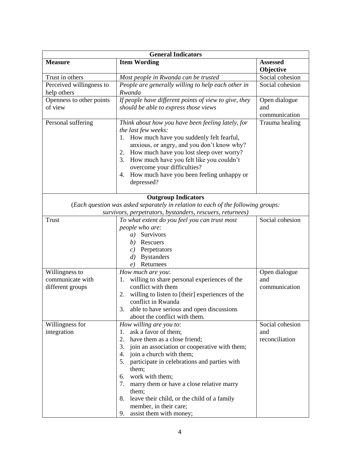| <b>General Indicators</b>                              |                                                                                                                                                                                                                                                                                                                                                                                                                                                          |                                          |  |
|--------------------------------------------------------|----------------------------------------------------------------------------------------------------------------------------------------------------------------------------------------------------------------------------------------------------------------------------------------------------------------------------------------------------------------------------------------------------------------------------------------------------------|------------------------------------------|--|
| <b>Measure</b>                                         | <b>Item Wording</b>                                                                                                                                                                                                                                                                                                                                                                                                                                      | <b>Assessed</b><br>Objective             |  |
| Trust in others                                        | Most people in Rwanda can be trusted                                                                                                                                                                                                                                                                                                                                                                                                                     | Social cohesion                          |  |
| Perceived willingness to<br>help others                | People are generally willing to help each other in<br>Rwanda                                                                                                                                                                                                                                                                                                                                                                                             | Social cohesion                          |  |
| Openness to other points<br>of view                    | If people have different points of view to give, they<br>should be able to express those views                                                                                                                                                                                                                                                                                                                                                           | Open dialogue<br>and<br>communication    |  |
| Personal suffering                                     | Think about how you have been feeling lately, for<br>the last few weeks:<br>How much have you suddenly felt fearful,<br>1.<br>anxious, or angry, and you don't know why?<br>How much have you lost sleep over worry?<br>2.<br>How much have you felt like you couldn't<br>3.<br>overcome your difficulties?<br>How much have you been feeling unhappy or<br>4.<br>depressed?                                                                             | Trauma healing                           |  |
|                                                        | <b>Outgroup Indicators</b><br>(Each question was asked separately in relation to each of the following groups:<br>survivors, perpetrators, bystanders, rescuers, returnees)                                                                                                                                                                                                                                                                              |                                          |  |
| <b>Trust</b>                                           | To what extent do you feel you can trust most<br>people who are:<br>a) Survivors<br>b) Rescuers<br>$c)$ Perpetrators<br><b>Bystanders</b><br>$\left( d\right)$<br>Returnees<br>e)                                                                                                                                                                                                                                                                        | Social cohesion                          |  |
| Willingness to<br>communicate with<br>different groups | How much are you:<br>willing to share personal experiences of the<br>1.<br>conflict with them<br>willing to listen to [their] experiences of the<br>2.<br>conflict in Rwanda<br>able to have serious and open discussions<br>3.<br>about the conflict with them.                                                                                                                                                                                         | Open dialogue<br>and<br>communication    |  |
| Willingness for<br>integration                         | How willing are you to:<br>ask a favor of them;<br>1.<br>have them as a close friend;<br>2.<br>join an association or cooperative with them;<br>3.<br>join a church with them;<br>4.<br>5.<br>participate in celebrations and parties with<br>them;<br>work with them;<br>6.<br>7.<br>marry them or have a close relative marry<br>them;<br>8.<br>leave their child, or the child of a family<br>member, in their care;<br>assist them with money;<br>9. | Social cohesion<br>and<br>reconciliation |  |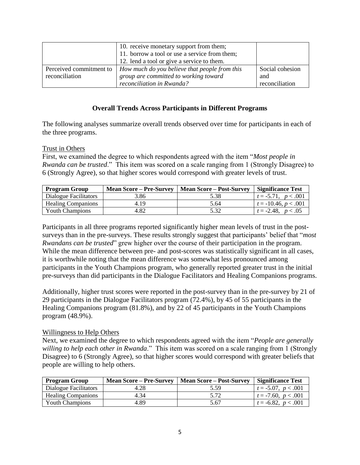|                         | 10. receive monetary support from them;<br>11. borrow a tool or use a service from them;<br>12. lend a tool or give a service to them. |                 |
|-------------------------|----------------------------------------------------------------------------------------------------------------------------------------|-----------------|
|                         |                                                                                                                                        |                 |
| Perceived commitment to | How much do you believe that people from this                                                                                          | Social cohesion |
| reconciliation          | group are committed to working toward                                                                                                  | and             |
|                         | reconciliation in Rwanda?                                                                                                              | reconciliation  |

## **Overall Trends Across Participants in Different Programs**

The following analyses summarize overall trends observed over time for participants in each of the three programs.

### Trust in Others

First, we examined the degree to which respondents agreed with the item "*Most people in Rwanda can be trusted*." This item was scored on a scale ranging from 1 (Strongly Disagree) to 6 (Strongly Agree), so that higher scores would correspond with greater levels of trust.

| <b>Program Group</b>      | <b>Mean Score – Pre-Survey</b> | <b>Mean Score – Post-Survey</b> | <b>Significance Test</b> |
|---------------------------|--------------------------------|---------------------------------|--------------------------|
| Dialogue Facilitators     | 3.86                           | 5.38                            | $t = -5.71, p < .001$    |
| <b>Healing Companions</b> | 4.19                           | 5.64                            | $t = -10.46, p < .001$   |
| <b>Youth Champions</b>    | 4.82                           | 5.32                            | $t = -2.48$ , $p < .05$  |

Participants in all three programs reported significantly higher mean levels of trust in the postsurveys than in the pre-surveys. These results strongly suggest that participants' belief that "*most Rwandans can be trusted*" grew higher over the course of their participation in the program. While the mean difference between pre- and post-scores was statistically significant in all cases, it is worthwhile noting that the mean difference was somewhat less pronounced among participants in the Youth Champions program, who generally reported greater trust in the initial pre-surveys than did participants in the Dialogue Facilitators and Healing Companions programs.

Additionally, higher trust scores were reported in the post-survey than in the pre-survey by 21 of 29 participants in the Dialogue Facilitators program (72.4%), by 45 of 55 participants in the Healing Companions program (81.8%), and by 22 of 45 participants in the Youth Champions program (48.9%).

### Willingness to Help Others

Next, we examined the degree to which respondents agreed with the item "*People are generally willing to help each other in Rwanda*." This item was scored on a scale ranging from 1 (Strongly Disagree) to 6 (Strongly Agree), so that higher scores would correspond with greater beliefs that people are willing to help others.

| <b>Program Group</b>      | <b>Mean Score – Pre-Survey</b> | <b>Mean Score – Post-Survey</b> | <b>Significance Test</b> |
|---------------------------|--------------------------------|---------------------------------|--------------------------|
| Dialogue Facilitators     | 4.28                           | 5.59                            | $t = -5.07, p < .001$    |
| <b>Healing Companions</b> | 4.34                           | 5.72                            | $t = -7.60, p < .001$    |
| <b>Youth Champions</b>    | 4.89                           | 5.67                            | $t = -6.82, p < .001$    |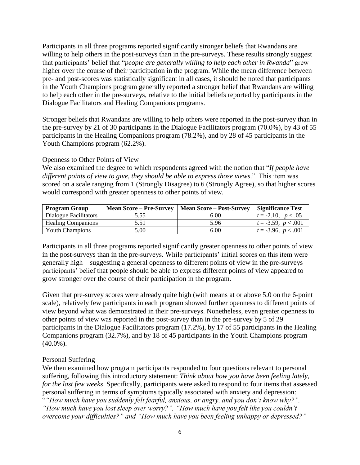Participants in all three programs reported significantly stronger beliefs that Rwandans are willing to help others in the post-surveys than in the pre-surveys. These results strongly suggest that participants' belief that "*people are generally willing to help each other in Rwanda*" grew higher over the course of their participation in the program. While the mean difference between pre- and post-scores was statistically significant in all cases, it should be noted that participants in the Youth Champions program generally reported a stronger belief that Rwandans are willing to help each other in the pre-surveys, relative to the initial beliefs reported by participants in the Dialogue Facilitators and Healing Companions programs.

Stronger beliefs that Rwandans are willing to help others were reported in the post-survey than in the pre-survey by 21 of 30 participants in the Dialogue Facilitators program (70.0%), by 43 of 55 participants in the Healing Companions program (78.2%), and by 28 of 45 participants in the Youth Champions program (62.2%).

### Openness to Other Points of View

We also examined the degree to which respondents agreed with the notion that "*If people have different points of view to give, they should be able to express those views*." This item was scored on a scale ranging from 1 (Strongly Disagree) to 6 (Strongly Agree), so that higher scores would correspond with greater openness to other points of view.

| Program Group             | <b>Mean Score – Pre-Survey</b> | <b>Mean Score – Post-Survey</b> | <b>Significance Test</b> |
|---------------------------|--------------------------------|---------------------------------|--------------------------|
| Dialogue Facilitators     | 5.55                           | 6.00                            | $t = -2.10, p < .05$     |
| <b>Healing Companions</b> | 5.51                           | 5.96                            | $t = -3.59, p < .001$    |
| <b>Youth Champions</b>    | 5.00                           | 6.00                            | $t = -3.96, p < .001$    |

Participants in all three programs reported significantly greater openness to other points of view in the post-surveys than in the pre-surveys. While participants' initial scores on this item were generally high – suggesting a general openness to different points of view in the pre-surveys – participants' belief that people should be able to express different points of view appeared to grow stronger over the course of their participation in the program.

Given that pre-survey scores were already quite high (with means at or above 5.0 on the 6-point scale), relatively few participants in each program showed further openness to different points of view beyond what was demonstrated in their pre-surveys. Nonetheless, even greater openness to other points of view was reported in the post-survey than in the pre-survey by 5 of 29 participants in the Dialogue Facilitators program (17.2%), by 17 of 55 participants in the Healing Companions program (32.7%), and by 18 of 45 participants in the Youth Champions program  $(40.0\%)$ .

### Personal Suffering

We then examined how program participants responded to four questions relevant to personal suffering, following this introductory statement: *Think about how you have been feeling lately, for the last few weeks*. Specifically, participants were asked to respond to four items that assessed personal suffering in terms of symptoms typically associated with anxiety and depression: "*"How much have you suddenly felt fearful, anxious, or angry, and you don't know why?", "How much have you lost sleep over worry?", "How much have you felt like you couldn't overcome your difficulties?" and "How much have you been feeling unhappy or depressed?"*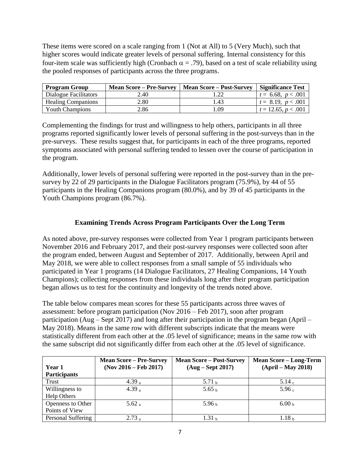These items were scored on a scale ranging from 1 (Not at All) to 5 (Very Much), such that higher scores would indicate greater levels of personal suffering. Internal consistency for this four-item scale was sufficiently high (Cronbach  $\alpha = .79$ ), based on a test of scale reliability using the pooled responses of participants across the three programs.

| <b>Program Group</b>      | <b>Mean Score – Pre-Survey</b> | <b>Mean Score – Post-Survey</b> | <b>Significance Test</b> |
|---------------------------|--------------------------------|---------------------------------|--------------------------|
| Dialogue Facilitators     | 2.40                           |                                 | $t = 6.68, p < .001$     |
| <b>Healing Companions</b> | 2.80                           | 1.43                            | $t = 8.19, p < .001$     |
| <b>Youth Champions</b>    | 2.86                           | .09                             | $t = 12.65, p < .001$    |

Complementing the findings for trust and willingness to help others, participants in all three programs reported significantly lower levels of personal suffering in the post-surveys than in the pre-surveys. These results suggest that, for participants in each of the three programs, reported symptoms associated with personal suffering tended to lessen over the course of participation in the program.

Additionally, lower levels of personal suffering were reported in the post-survey than in the presurvey by 22 of 29 participants in the Dialogue Facilitators program (75.9%), by 44 of 55 participants in the Healing Companions program (80.0%), and by 39 of 45 participants in the Youth Champions program (86.7%).

# **Examining Trends Across Program Participants Over the Long Term**

As noted above, pre-survey responses were collected from Year 1 program participants between November 2016 and February 2017, and their post-survey responses were collected soon after the program ended, between August and September of 2017. Additionally, between April and May 2018, we were able to collect responses from a small sample of 55 individuals who participated in Year 1 programs (14 Dialogue Facilitators, 27 Healing Companions, 14 Youth Champions); collecting responses from these individuals long after their program participation began allows us to test for the continuity and longevity of the trends noted above.

The table below compares mean scores for these 55 participants across three waves of assessment: before program participation (Nov 2016 – Feb 2017), soon after program participation (Aug – Sept 2017) and long after their participation in the program began (April – May 2018). Means in the same row with different subscripts indicate that the means were statistically different from each other at the .05 level of significance; means in the same row with the same subscript did not significantly differ from each other at the .05 level of significance.

|                     | <b>Mean Score – Pre-Survey</b> | <b>Mean Score – Post-Survey</b> | <b>Mean Score - Long-Term</b> |
|---------------------|--------------------------------|---------------------------------|-------------------------------|
| Year 1              | $(Nov 2016 - Feb 2017)$        | $(Aug - Sept 2017)$             | $(April - May 2018)$          |
| <b>Participants</b> |                                |                                 |                               |
| Trust               | 4.39 $a$                       | 5.71 <sub>b</sub>               | 5.14c                         |
| Willingness to      | 4.39 $a$                       | 5.65 <sub>b</sub>               | 5.96 <sub>c</sub>             |
| Help Others         |                                |                                 |                               |
| Openness to Other   | 5.62 a                         | 5.96 <sub>b</sub>               | 6.00 <sub>b</sub>             |
| Points of View      |                                |                                 |                               |
| Personal Suffering  | $2.73_a$                       | 1.31 <sub>b</sub>               | 1.18 <sub>b</sub>             |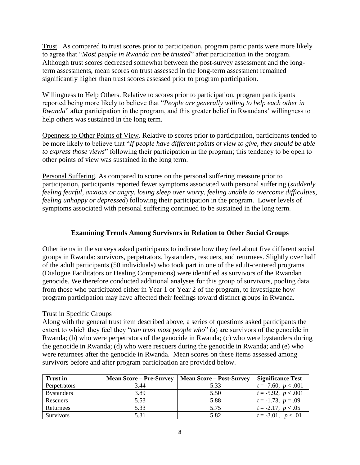Trust. As compared to trust scores prior to participation, program participants were more likely to agree that "*Most people in Rwanda can be trusted*" after participation in the program. Although trust scores decreased somewhat between the post-survey assessment and the longterm assessments, mean scores on trust assessed in the long-term assessment remained significantly higher than trust scores assessed prior to program participation.

Willingness to Help Others. Relative to scores prior to participation, program participants reported being more likely to believe that "*People are generally willing to help each other in Rwanda*" after participation in the program, and this greater belief in Rwandans' willingness to help others was sustained in the long term.

Openness to Other Points of View. Relative to scores prior to participation, participants tended to be more likely to believe that "*If people have different points of view to give, they should be able to express those views*" following their participation in the program; this tendency to be open to other points of view was sustained in the long term.

Personal Suffering. As compared to scores on the personal suffering measure prior to participation, participants reported fewer symptoms associated with personal suffering (*suddenly feeling fearful, anxious or angry, losing sleep over worry, feeling unable to overcome difficulties, feeling unhappy or depressed*) following their participation in the program. Lower levels of symptoms associated with personal suffering continued to be sustained in the long term.

## **Examining Trends Among Survivors in Relation to Other Social Groups**

Other items in the surveys asked participants to indicate how they feel about five different social groups in Rwanda: survivors, perpetrators, bystanders, rescuers, and returnees. Slightly over half of the adult participants (50 individuals) who took part in one of the adult-centered programs (Dialogue Facilitators or Healing Companions) were identified as survivors of the Rwandan genocide. We therefore conducted additional analyses for this group of survivors, pooling data from those who participated either in Year 1 or Year 2 of the program, to investigate how program participation may have affected their feelings toward distinct groups in Rwanda.

## Trust in Specific Groups

Along with the general trust item described above, a series of questions asked participants the extent to which they feel they "*can trust most people who*" (a) are survivors of the genocide in Rwanda; (b) who were perpetrators of the genocide in Rwanda; (c) who were bystanders during the genocide in Rwanda; (d) who were rescuers during the genocide in Rwanda; and (e) who were returnees after the genocide in Rwanda. Mean scores on these items assessed among survivors before and after program participation are provided below.

| <b>Trust in</b>   | <b>Mean Score – Pre-Survey</b> | <b>Mean Score – Post-Survey</b> | <b>Significance Test</b> |
|-------------------|--------------------------------|---------------------------------|--------------------------|
| Perpetrators      | 3.44                           | 5.33                            | $t = -7.60, p < .001$    |
| <b>Bystanders</b> | 3.89                           | 5.50                            | $t = -5.92, p < .001$    |
| Rescuers          | 5.53                           | 5.88                            | $t = -1.73$ , $p = .09$  |
| Returnees         | 5.33                           | 5.75                            | $t = -2.17, p < .05$     |
| <b>Survivors</b>  | 5.31                           | 5.82                            | $t = -3.01, p < .01$     |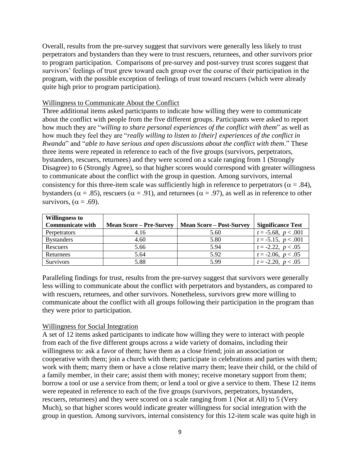Overall, results from the pre-survey suggest that survivors were generally less likely to trust perpetrators and bystanders than they were to trust rescuers, returnees, and other survivors prior to program participation. Comparisons of pre-survey and post-survey trust scores suggest that survivors' feelings of trust grew toward each group over the course of their participation in the program, with the possible exception of feelings of trust toward rescuers (which were already quite high prior to program participation).

#### Willingness to Communicate About the Conflict

Three additional items asked participants to indicate how willing they were to communicate about the conflict with people from the five different groups. Participants were asked to report how much they are "*willing to share personal experiences of the conflict with them*" as well as how much they feel they are "*really willing to listen to [their] experiences of the conflict in Rwanda*" and "*able to have serious and open discussions about the conflict with them*." These three items were repeated in reference to each of the five groups (survivors, perpetrators, bystanders, rescuers, returnees) and they were scored on a scale ranging from 1 (Strongly Disagree) to 6 (Strongly Agree), so that higher scores would correspond with greater willingness to communicate about the conflict with the group in question. Among survivors, internal consistency for this three-item scale was sufficiently high in reference to perpetrators ( $\alpha = .84$ ), bystanders ( $\alpha = .85$ ), rescuers ( $\alpha = .91$ ), and returnees ( $\alpha = .97$ ), as well as in reference to other survivors,  $(\alpha = .69)$ .

| <b>Willingness to</b>   |                                |                                 |                          |
|-------------------------|--------------------------------|---------------------------------|--------------------------|
| <b>Communicate with</b> | <b>Mean Score – Pre-Survey</b> | <b>Mean Score – Post-Survey</b> | <b>Significance Test</b> |
| Perpetrators            | 4.16                           | 5.60                            | $t = -5.68, p < .001$    |
| <b>Bystanders</b>       | 4.60                           | 5.80                            | $t = -5.15, p < .001$    |
| Rescuers                | 5.66                           | 5.94                            | $t = -2.22, p < .05$     |
| Returnees               | 5.64                           | 5.92                            | $t = -2.06, p < .05$     |
| <b>Survivors</b>        | 5.88                           | 5.99                            | $t = -2.20, p < .05$     |

Paralleling findings for trust, results from the pre-survey suggest that survivors were generally less willing to communicate about the conflict with perpetrators and bystanders, as compared to with rescuers, returnees, and other survivors. Nonetheless, survivors grew more willing to communicate about the conflict with all groups following their participation in the program than they were prior to participation.

### Willingness for Social Integration

A set of 12 items asked participants to indicate how willing they were to interact with people from each of the five different groups across a wide variety of domains, including their willingness to: ask a favor of them; have them as a close friend; join an association or cooperative with them; join a church with them; participate in celebrations and parties with them; work with them; marry them or have a close relative marry them; leave their child, or the child of a family member, in their care; assist them with money; receive monetary support from them; borrow a tool or use a service from them; or lend a tool or give a service to them. These 12 items were repeated in reference to each of the five groups (survivors, perpetrators, bystanders, rescuers, returnees) and they were scored on a scale ranging from 1 (Not at All) to 5 (Very Much), so that higher scores would indicate greater willingness for social integration with the group in question. Among survivors, internal consistency for this 12-item scale was quite high in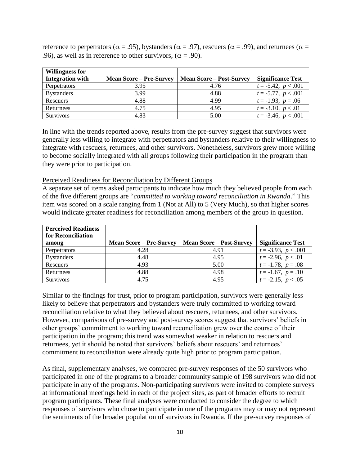reference to perpetrators ( $\alpha = .95$ ), bystanders ( $\alpha = .97$ ), rescuers ( $\alpha = .99$ ), and returnees ( $\alpha =$ .96), as well as in reference to other survivors, ( $\alpha = .90$ ).

| <b>Willingness for</b>  |                                |                                 |                          |
|-------------------------|--------------------------------|---------------------------------|--------------------------|
| <b>Integration with</b> | <b>Mean Score – Pre-Survey</b> | <b>Mean Score – Post-Survey</b> | <b>Significance Test</b> |
| Perpetrators            | 3.95                           | 4.76                            | $t = -5.42, p < .001$    |
| <b>Bystanders</b>       | 3.99                           | 4.88                            | $t = -5.77, p < .001$    |
| Rescuers                | 4.88                           | 4.99                            | $t = -1.93, p = .06$     |
| Returnees               | 4.75                           | 4.95                            | $t = -3.10, p < .01$     |
| Survivors               | 4.83                           | 5.00                            | $t = -3.46, p < .001$    |

In line with the trends reported above, results from the pre-survey suggest that survivors were generally less willing to integrate with perpetrators and bystanders relative to their willingness to integrate with rescuers, returnees, and other survivors. Nonetheless, survivors grew more willing to become socially integrated with all groups following their participation in the program than they were prior to participation.

Perceived Readiness for Reconciliation by Different Groups

A separate set of items asked participants to indicate how much they believed people from each of the five different groups are "*committed to working toward reconciliation in Rwanda*." This item was scored on a scale ranging from 1 (Not at All) to 5 (Very Much), so that higher scores would indicate greater readiness for reconciliation among members of the group in question.

| <b>Perceived Readiness</b><br>for Reconciliation |                                |                                 |                          |
|--------------------------------------------------|--------------------------------|---------------------------------|--------------------------|
| among                                            | <b>Mean Score – Pre-Survey</b> | <b>Mean Score – Post-Survey</b> | <b>Significance Test</b> |
| Perpetrators                                     | 4.28                           | 4.91                            | $t = -3.93, p < .001$    |
| <b>Bystanders</b>                                | 4.48                           | 4.95                            | $t = -2.96, p < .01$     |
| Rescuers                                         | 4.93                           | 5.00                            | $t = -1.78$ , $p = .08$  |
| Returnees                                        | 4.88                           | 4.98                            | $t = -1.67, p = .10$     |
| <b>Survivors</b>                                 | 4.75                           | 4.95                            | $t = -2.15, p < .05$     |

Similar to the findings for trust, prior to program participation, survivors were generally less likely to believe that perpetrators and bystanders were truly committed to working toward reconciliation relative to what they believed about rescuers, returnees, and other survivors. However, comparisons of pre-survey and post-survey scores suggest that survivors' beliefs in other groups' commitment to working toward reconciliation grew over the course of their participation in the program; this trend was somewhat weaker in relation to rescuers and returnees, yet it should be noted that survivors' beliefs about rescuers' and returnees' commitment to reconciliation were already quite high prior to program participation.

As final, supplementary analyses, we compared pre-survey responses of the 50 survivors who participated in one of the programs to a broader community sample of 198 survivors who did not participate in any of the programs. Non-participating survivors were invited to complete surveys at informational meetings held in each of the project sites, as part of broader efforts to recruit program participants. These final analyses were conducted to consider the degree to which responses of survivors who chose to participate in one of the programs may or may not represent the sentiments of the broader population of survivors in Rwanda. If the pre-survey responses of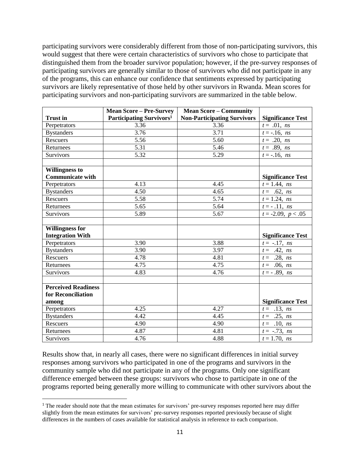participating survivors were considerably different from those of non-participating survivors, this would suggest that there were certain characteristics of survivors who chose to participate that distinguished them from the broader survivor population; however, if the pre-survey responses of participating survivors are generally similar to those of survivors who did not participate in any of the programs, this can enhance our confidence that sentiments expressed by participating survivors are likely representative of those held by other survivors in Rwanda. Mean scores for participating survivors and non-participating survivors are summarized in the table below.

|                            | <b>Mean Score - Pre-Survey</b>       | <b>Mean Score - Community</b>      |                          |
|----------------------------|--------------------------------------|------------------------------------|--------------------------|
| <b>Trust</b> in            | Participating Survivors <sup>1</sup> | <b>Non-Participating Survivors</b> | <b>Significance Test</b> |
| Perpetrators               | 3.36                                 | 3.36                               | $t = .01$ , ns           |
| <b>Bystanders</b>          | 3.76                                 | 3.71                               | $t = -.16$ , ns          |
| Rescuers                   | 5.56                                 | 5.60                               | $t = .20, ns$            |
| Returnees                  | $\overline{5.31}$                    | 5.46                               | $t = .89, ns$            |
| <b>Survivors</b>           | 5.32                                 | 5.29                               | $t = -.16$ , ns          |
|                            |                                      |                                    |                          |
| <b>Willingness to</b>      |                                      |                                    |                          |
| <b>Communicate with</b>    |                                      |                                    | <b>Significance Test</b> |
| Perpetrators               | 4.13                                 | 4.45                               | $t = 1.44$ , ns          |
| <b>Bystanders</b>          | 4.50                                 | 4.65                               | $t = .62, ns$            |
| Rescuers                   | 5.58                                 | 5.74                               | $t = 1.24$ , ns          |
| Returnees                  | 5.65                                 | 5.64                               | $t = -0.11$ , ns         |
| Survivors                  | 5.89                                 | 5.67                               | $t = -2.09, p < .05$     |
|                            |                                      |                                    |                          |
| <b>Willingness for</b>     |                                      |                                    |                          |
| <b>Integration With</b>    |                                      |                                    | <b>Significance Test</b> |
| Perpetrators               | 3.90                                 | 3.88                               | $t = -.17, ns$           |
| <b>Bystanders</b>          | 3.90                                 | 3.97                               | $t = .42$ , ns           |
| Rescuers                   | 4.78                                 | 4.81                               | $t = .28, ns$            |
| Returnees                  | 4.75                                 | 4.75                               | $t = .06, ns$            |
| Survivors                  | 4.83                                 | 4.76                               | $t = -0.89$ , ns         |
|                            |                                      |                                    |                          |
| <b>Perceived Readiness</b> |                                      |                                    |                          |
| for Reconciliation         |                                      |                                    |                          |
| among                      |                                      |                                    | <b>Significance Test</b> |
| Perpetrators               | 4.25                                 | 4.27                               | $t = .13, ns$            |
| <b>Bystanders</b>          | 4.42                                 | 4.45                               | $t = .25, ns$            |
| Rescuers                   | 4.90                                 | 4.90                               | $t = .10, ns$            |
| Returnees                  | 4.87                                 | 4.81                               | $t = -.73$ , ns          |
| Survivors                  | 4.76                                 | 4.88                               | $t = 1.70$ , ns          |

Results show that, in nearly all cases, there were no significant differences in initial survey responses among survivors who participated in one of the programs and survivors in the community sample who did not participate in any of the programs. Only one significant difference emerged between these groups: survivors who chose to participate in one of the programs reported being generally more willing to communicate with other survivors about the

 $\overline{\phantom{a}}$ 

<sup>&</sup>lt;sup>1</sup> The reader should note that the mean estimates for survivors' pre-survey responses reported here may differ slightly from the mean estimates for survivors' pre-survey responses reported previously because of slight differences in the numbers of cases available for statistical analysis in reference to each comparison.